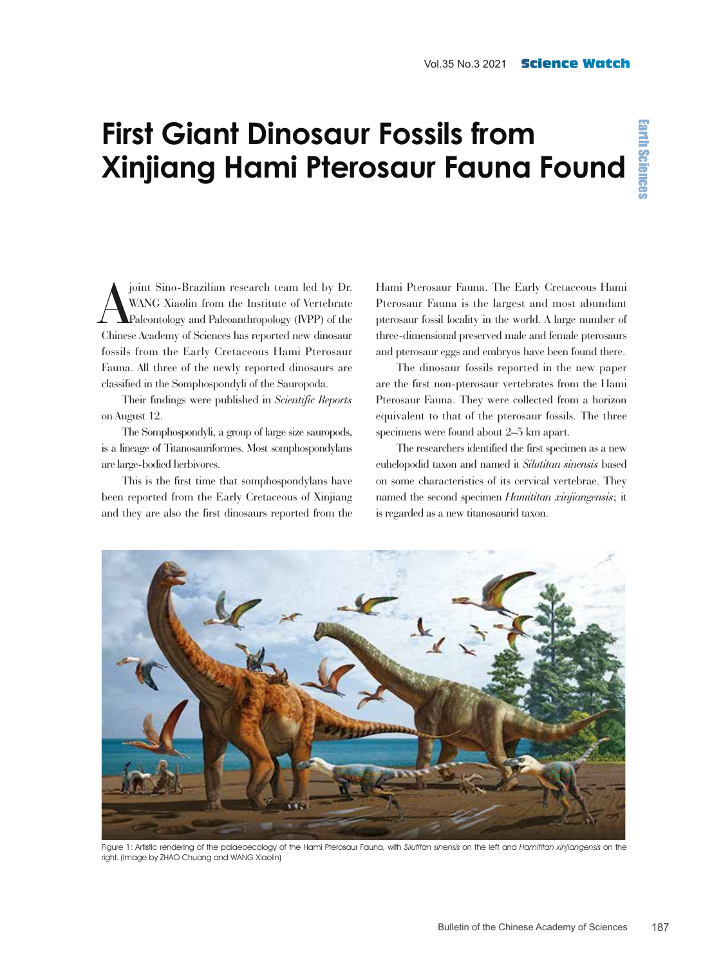## **First Giant Dinosaur Fossils from Xinjiang Hami Pterosaur Fauna Found**

joint Sino-Brazilian research team led by Dr. WANG Xiaolin from the Institute of Vertebrate Paleontology and Paleoanthropology (IVPP) of the Chinese Academy of Sciences has reported new dinosaur fossils from the Early Cretaceous Hami Pterosaur Fauna. All three of the newly reported dinosaurs are classified in the Somphospondyli of the Sauropoda.

Their findings were published in *Scientific Reports*  on August 12.

The Somphospondyli, a group of large size sauropods, is a lineage of Titanosauriformes. Most somphospondylans are large-bodied herbivores.

This is the first time that somphospondylans have been reported from the Early Cretaceous of Xinjiang and they are also the first dinosaurs reported from the

Hami Pterosaur Fauna. The Early Cretaceous Hami Pterosaur Fauna is the largest and most abundant pterosaur fossil locality in the world. A large number of three-dimensional preserved male and female pterosaurs and pterosaur eggs and embryos have been found there.

The dinosaur fossils reported in the new paper are the first non-pterosaur vertebrates from the Hami Pterosaur Fauna. They were collected from a horizon equivalent to that of the pterosaur fossils. The three specimens were found about 2–5 km apart.

The researchers identified the first specimen as a new euhelopodid taxon and named it *Silutitan sinensis* based on some characteristics of its cervical vertebrae. They named the second specimen *Hamititan xinjiangensis*; it is regarded as a new titanosaurid taxon.



Figure 1: Artistic rendering of the palaeoecology of the Hami Pterosaur Fauna, with Silutitan sinensis on the left and Hamititan xinjiangensis on the right. (Image by ZHAO Chuang and WANG Xiaolin)